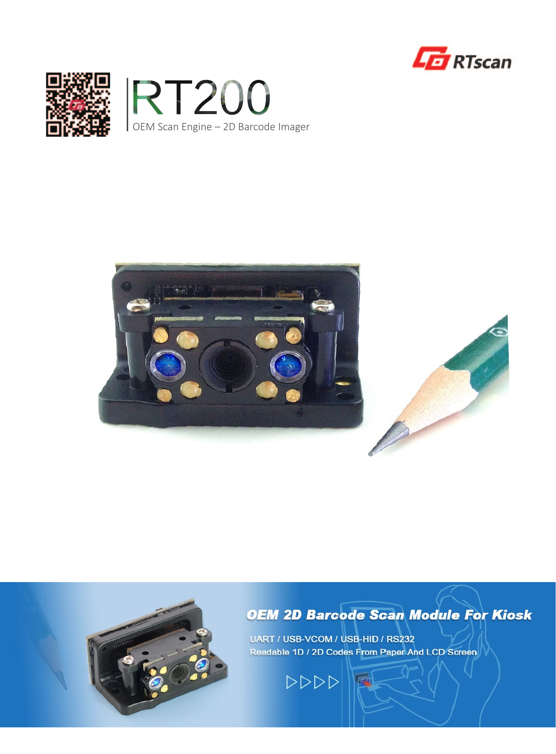









# **OEM 2D Barcode Scan Module For Kiosk**

UART / USB-VCOM / USB-HID / RS232 Readable 1D / 2D Codes From Paper And LCD Screen

 $\triangleright \triangleright \triangleright \triangleright$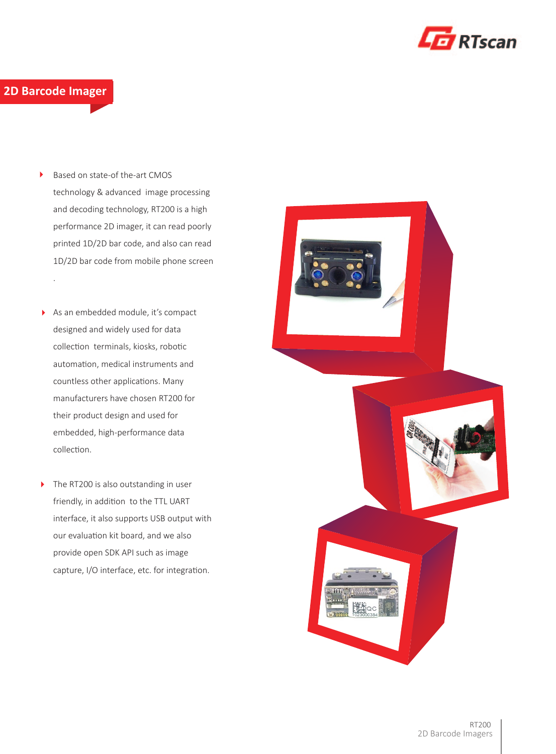

## **2D Barcode Imager**

.

- Based on state-of the-art CMOS  $\ddot{\phantom{1}}$ technology & advanced image processing and decoding technology, RT200 is a high performance 2D imager, it can read poorly printed 1D/2D bar code, and also can read 1D/2D bar code from mobile phone screen
- As an embedded module, it's compact  $\blacktriangleright$ designed and widely used for data collection terminals, kiosks, robotic automation, medical instruments and countless other applications. Many manufacturers have chosen RT200 for their product design and used for embedded, high-performance data collection.
- The RT200 is also outstanding in user  $\blacktriangleright$ friendly, in addition to the TTL UART interface, it also supports USB output with our evaluation kit board, and we also provide open SDK API such as image capture, I/O interface, etc. for integration.

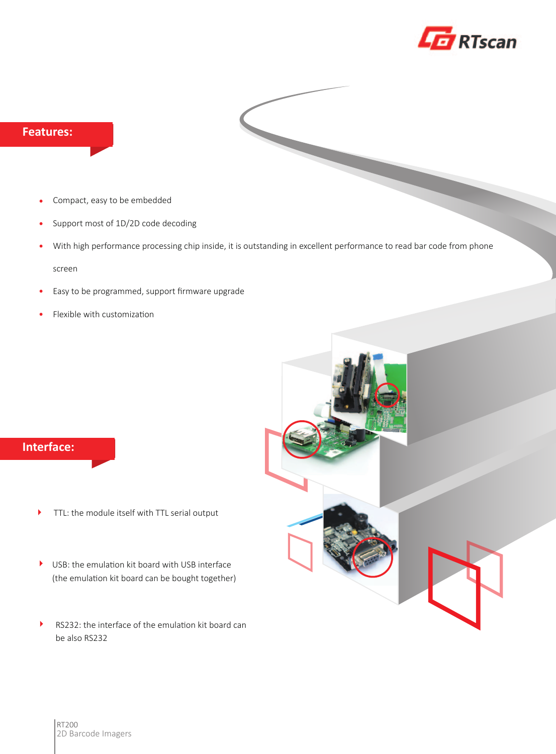

#### **Features:**

- Compact, easy to be embedded
- Support most of 1D/2D code decoding
- With high performance processing chip inside, it is outstanding in excellent performance to read bar code from phone  $\bullet$

screen

- Easy to be programmed, support firmware upgrade  $\bullet$
- Flexible with customization

### **Interface:**

- $\blacktriangleright$ TTL: the module itself with TTL serial output
- $\blacktriangleright$ USB: the emulation kit board with USB interface (the emulation kit board can be bought together)
- RS232: the interface of the emulation kit board can  $\ddot{\phantom{1}}$ be also RS232

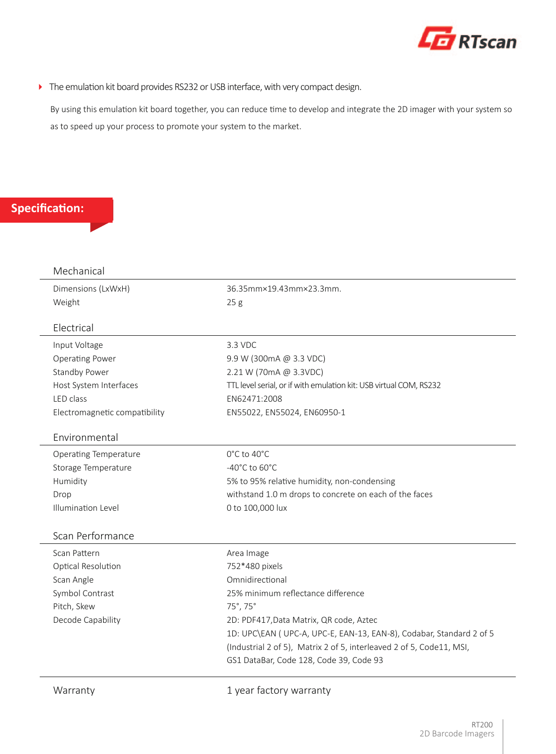

▶ The emulation kit board provides RS232 or USB interface, with very compact design.

By using this emulation kit board together, you can reduce time to develop and integrate the 2D imager with your system so as to speed up your process to promote your system to the market.

## **Specification:**

| Dimensions (LxWxH)            | 36.35mm×19.43mm×23.3mm.                                              |
|-------------------------------|----------------------------------------------------------------------|
| Weight                        | 25g                                                                  |
| Electrical                    |                                                                      |
| Input Voltage                 | 3.3 VDC                                                              |
| <b>Operating Power</b>        | 9.9 W (300mA @ 3.3 VDC)                                              |
| Standby Power                 | 2.21 W (70mA @ 3.3VDC)                                               |
| Host System Interfaces        | TTL level serial, or if with emulation kit: USB virtual COM, RS232   |
| LED class                     | EN62471:2008                                                         |
| Electromagnetic compatibility | EN55022, EN55024, EN60950-1                                          |
| Environmental                 |                                                                      |
| Operating Temperature         | $0^{\circ}$ C to 40 $^{\circ}$ C                                     |
| Storage Temperature           | -40°C to 60°C                                                        |
| Humidity                      | 5% to 95% relative humidity, non-condensing                          |
| Drop                          | withstand 1.0 m drops to concrete on each of the faces               |
| <b>Illumination Level</b>     | 0 to 100,000 lux                                                     |
| Scan Performance              |                                                                      |
| Scan Pattern                  | Area Image                                                           |
| Optical Resolution            | 752*480 pixels                                                       |
| Scan Angle                    | Omnidirectional                                                      |
| Symbol Contrast               | 25% minimum reflectance difference                                   |
| Pitch, Skew                   | 75°, 75°                                                             |
| Decode Capability             | 2D: PDF417, Data Matrix, QR code, Aztec                              |
|                               | 1D: UPC\EAN (UPC-A, UPC-E, EAN-13, EAN-8), Codabar, Standard 2 of 5  |
|                               | (Industrial 2 of 5), Matrix 2 of 5, interleaved 2 of 5, Code11, MSI, |
|                               | GS1 DataBar, Code 128, Code 39, Code 93                              |
| Warranty                      | 1 year factory warranty                                              |